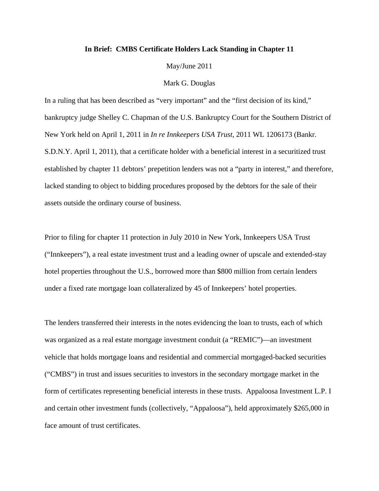## **In Brief: CMBS Certificate Holders Lack Standing in Chapter 11**

May/June 2011

## Mark G. Douglas

In a ruling that has been described as "very important" and the "first decision of its kind," bankruptcy judge Shelley C. Chapman of the U.S. Bankruptcy Court for the Southern District of New York held on April 1, 2011 in *In re Innkeepers USA Trust*, 2011 WL 1206173 (Bankr. S.D.N.Y. April 1, 2011), that a certificate holder with a beneficial interest in a securitized trust established by chapter 11 debtors' prepetition lenders was not a "party in interest," and therefore, lacked standing to object to bidding procedures proposed by the debtors for the sale of their assets outside the ordinary course of business.

Prior to filing for chapter 11 protection in July 2010 in New York, Innkeepers USA Trust ("Innkeepers"), a real estate investment trust and a leading owner of upscale and extended-stay hotel properties throughout the U.S., borrowed more than \$800 million from certain lenders under a fixed rate mortgage loan collateralized by 45 of Innkeepers' hotel properties.

The lenders transferred their interests in the notes evidencing the loan to trusts, each of which was organized as a real estate mortgage investment conduit (a "REMIC")—an investment vehicle that holds mortgage loans and residential and commercial mortgaged-backed securities ("CMBS") in trust and issues securities to investors in the secondary mortgage market in the form of certificates representing beneficial interests in these trusts. Appaloosa Investment L.P. I and certain other investment funds (collectively, "Appaloosa"), held approximately \$265,000 in face amount of trust certificates.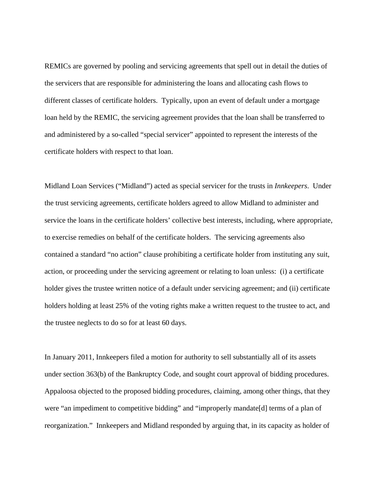REMICs are governed by pooling and servicing agreements that spell out in detail the duties of the servicers that are responsible for administering the loans and allocating cash flows to different classes of certificate holders. Typically, upon an event of default under a mortgage loan held by the REMIC, the servicing agreement provides that the loan shall be transferred to and administered by a so-called "special servicer" appointed to represent the interests of the certificate holders with respect to that loan.

Midland Loan Services ("Midland") acted as special servicer for the trusts in *Innkeepers*. Under the trust servicing agreements, certificate holders agreed to allow Midland to administer and service the loans in the certificate holders' collective best interests, including, where appropriate, to exercise remedies on behalf of the certificate holders. The servicing agreements also contained a standard "no action" clause prohibiting a certificate holder from instituting any suit, action, or proceeding under the servicing agreement or relating to loan unless: (i) a certificate holder gives the trustee written notice of a default under servicing agreement; and (ii) certificate holders holding at least 25% of the voting rights make a written request to the trustee to act, and the trustee neglects to do so for at least 60 days.

In January 2011, Innkeepers filed a motion for authority to sell substantially all of its assets under section 363(b) of the Bankruptcy Code, and sought court approval of bidding procedures. Appaloosa objected to the proposed bidding procedures, claiming, among other things, that they were "an impediment to competitive bidding" and "improperly mandate[d] terms of a plan of reorganization." Innkeepers and Midland responded by arguing that, in its capacity as holder of